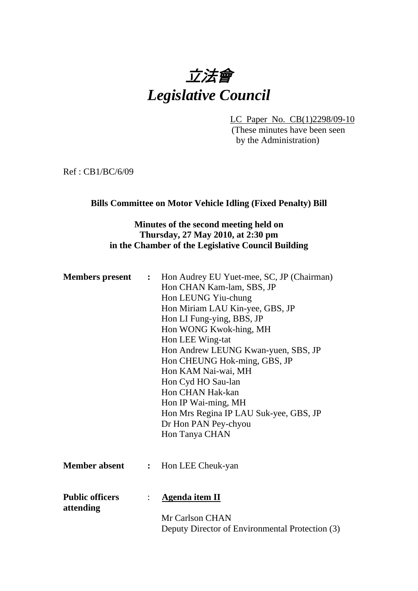

LC Paper No. CB(1)2298/09-10

(These minutes have been seen by the Administration)

Ref : CB1/BC/6/09

#### **Bills Committee on Motor Vehicle Idling (Fixed Penalty) Bill**

# **Minutes of the second meeting held on Thursday, 27 May 2010, at 2:30 pm in the Chamber of the Legislative Council Building**

| <b>Members</b> present              |                | : Hon Audrey EU Yuet-mee, SC, JP (Chairman)<br>Hon CHAN Kam-lam, SBS, JP<br>Hon LEUNG Yiu-chung<br>Hon Miriam LAU Kin-yee, GBS, JP<br>Hon LI Fung-ying, BBS, JP<br>Hon WONG Kwok-hing, MH<br>Hon LEE Wing-tat<br>Hon Andrew LEUNG Kwan-yuen, SBS, JP<br>Hon CHEUNG Hok-ming, GBS, JP<br>Hon KAM Nai-wai, MH<br>Hon Cyd HO Sau-lan<br>Hon CHAN Hak-kan<br>Hon IP Wai-ming, MH<br>Hon Mrs Regina IP LAU Suk-yee, GBS, JP |
|-------------------------------------|----------------|------------------------------------------------------------------------------------------------------------------------------------------------------------------------------------------------------------------------------------------------------------------------------------------------------------------------------------------------------------------------------------------------------------------------|
|                                     |                | Dr Hon PAN Pey-chyou<br>Hon Tanya CHAN                                                                                                                                                                                                                                                                                                                                                                                 |
| <b>Member absent</b>                | $\ddot{\cdot}$ | Hon LEE Cheuk-yan                                                                                                                                                                                                                                                                                                                                                                                                      |
| <b>Public officers</b><br>attending | $\ddot{\cdot}$ | <b>Agenda item II</b>                                                                                                                                                                                                                                                                                                                                                                                                  |
|                                     |                | Mr Carlson CHAN<br>Deputy Director of Environmental Protection (3)                                                                                                                                                                                                                                                                                                                                                     |
|                                     |                |                                                                                                                                                                                                                                                                                                                                                                                                                        |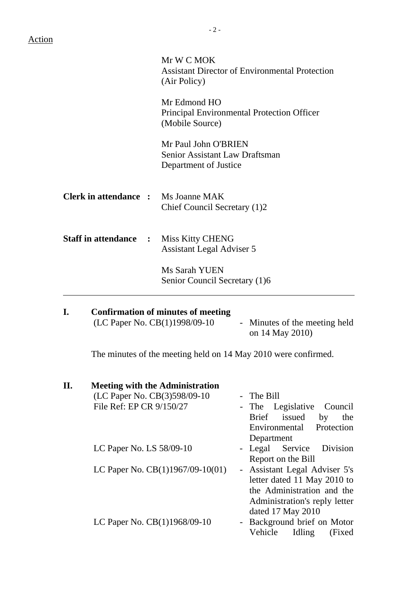|                                            | Mr W C MOK<br><b>Assistant Director of Environmental Protection</b><br>(Air Policy) |
|--------------------------------------------|-------------------------------------------------------------------------------------|
|                                            | Mr Edmond HO<br>Principal Environmental Protection Officer<br>(Mobile Source)       |
|                                            | Mr Paul John O'BRIEN<br>Senior Assistant Law Draftsman<br>Department of Justice     |
| <b>Clerk in attendance :</b> Ms Joanne MAK | Chief Council Secretary (1)2                                                        |
| <b>Staff in attendance :</b>               | <b>Miss Kitty CHENG</b><br><b>Assistant Legal Adviser 5</b>                         |
|                                            | Ms Sarah YUEN<br>Senior Council Secretary (1)6                                      |

| Confirmation of minutes of meeting |                                                  |
|------------------------------------|--------------------------------------------------|
| (LC Paper No. $CB(1)1998/09-10$    | - Minutes of the meeting held<br>on 14 May 2010) |
|                                    |                                                  |

The minutes of the meeting held on 14 May 2010 were confirmed.

| II. | <b>Meeting with the Administration</b> |                               |
|-----|----------------------------------------|-------------------------------|
|     | (LC Paper No. CB(3)598/09-10           | - The Bill                    |
|     | File Ref: EP CR 9/150/27               | - The Legislative Council     |
|     |                                        | Brief issued<br>by<br>the     |
|     |                                        | Environmental<br>Protection   |
|     |                                        | Department                    |
|     | LC Paper No. LS 58/09-10               | - Legal Service Division      |
|     |                                        | Report on the Bill            |
|     | LC Paper No. $CB(1)1967/09-10(01)$     | - Assistant Legal Adviser 5's |
|     |                                        | letter dated 11 May 2010 to   |
|     |                                        | the Administration and the    |
|     |                                        | Administration's reply letter |
|     |                                        | dated 17 May 2010             |
|     | LC Paper No. CB(1)1968/09-10           | - Background brief on Motor   |
|     |                                        | Vehicle<br>Idling<br>(Fixed)  |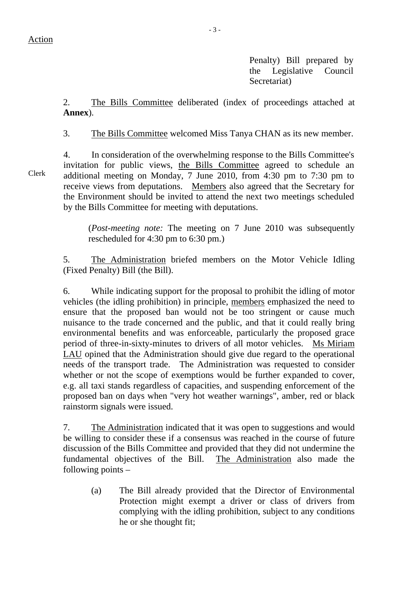Penalty) Bill prepared by the Legislative Council Secretariat)

2. The Bills Committee deliberated (index of proceedings attached at **Annex**).

3. The Bills Committee welcomed Miss Tanya CHAN as its new member.

4. In consideration of the overwhelming response to the Bills Committee's invitation for public views, the Bills Committee agreed to schedule an additional meeting on Monday, 7 June 2010, from 4:30 pm to 7:30 pm to receive views from deputations. Members also agreed that the Secretary for the Environment should be invited to attend the next two meetings scheduled by the Bills Committee for meeting with deputations.

(*Post-meeting note:* The meeting on 7 June 2010 was subsequently rescheduled for 4:30 pm to 6:30 pm.)

5. The Administration briefed members on the Motor Vehicle Idling (Fixed Penalty) Bill (the Bill).

6. While indicating support for the proposal to prohibit the idling of motor vehicles (the idling prohibition) in principle, members emphasized the need to ensure that the proposed ban would not be too stringent or cause much nuisance to the trade concerned and the public, and that it could really bring environmental benefits and was enforceable, particularly the proposed grace period of three-in-sixty-minutes to drivers of all motor vehicles. Ms Miriam LAU opined that the Administration should give due regard to the operational needs of the transport trade. The Administration was requested to consider whether or not the scope of exemptions would be further expanded to cover, e.g. all taxi stands regardless of capacities, and suspending enforcement of the proposed ban on days when "very hot weather warnings", amber, red or black rainstorm signals were issued.

7. The Administration indicated that it was open to suggestions and would be willing to consider these if a consensus was reached in the course of future discussion of the Bills Committee and provided that they did not undermine the fundamental objectives of the Bill. The Administration also made the following points –

(a) The Bill already provided that the Director of Environmental Protection might exempt a driver or class of drivers from complying with the idling prohibition, subject to any conditions he or she thought fit;

Clerk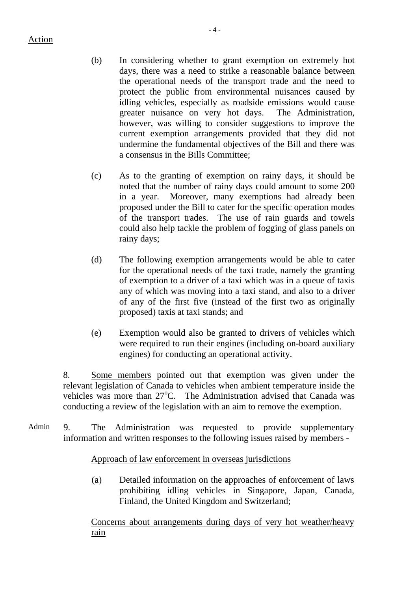- (b) In considering whether to grant exemption on extremely hot days, there was a need to strike a reasonable balance between the operational needs of the transport trade and the need to protect the public from environmental nuisances caused by idling vehicles, especially as roadside emissions would cause greater nuisance on very hot days. The Administration, however, was willing to consider suggestions to improve the current exemption arrangements provided that they did not undermine the fundamental objectives of the Bill and there was a consensus in the Bills Committee;
- (c) As to the granting of exemption on rainy days, it should be noted that the number of rainy days could amount to some 200 in a year. Moreover, many exemptions had already been proposed under the Bill to cater for the specific operation modes of the transport trades. The use of rain guards and towels could also help tackle the problem of fogging of glass panels on rainy days;
- (d) The following exemption arrangements would be able to cater for the operational needs of the taxi trade, namely the granting of exemption to a driver of a taxi which was in a queue of taxis any of which was moving into a taxi stand, and also to a driver of any of the first five (instead of the first two as originally proposed) taxis at taxi stands; and
- (e) Exemption would also be granted to drivers of vehicles which were required to run their engines (including on-board auxiliary engines) for conducting an operational activity.

8. Some members pointed out that exemption was given under the relevant legislation of Canada to vehicles when ambient temperature inside the vehicles was more than 27°C. The Administration advised that Canada was conducting a review of the legislation with an aim to remove the exemption.

Admin 9. The Administration was requested to provide supplementary information and written responses to the following issues raised by members -

# Approach of law enforcement in overseas jurisdictions

(a) Detailed information on the approaches of enforcement of laws prohibiting idling vehicles in Singapore, Japan, Canada, Finland, the United Kingdom and Switzerland;

Concerns about arrangements during days of very hot weather/heavy rain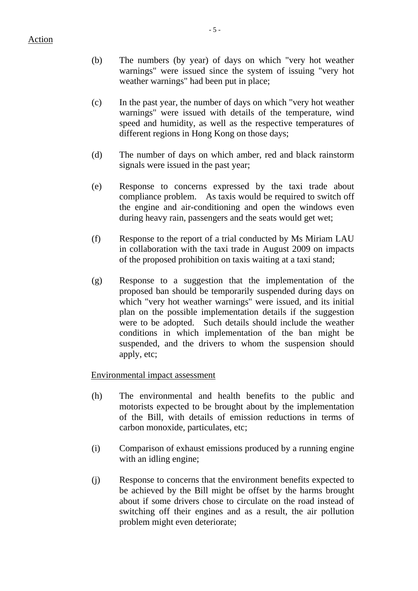- (b) The numbers (by year) of days on which "very hot weather warnings" were issued since the system of issuing "very hot weather warnings" had been put in place;
- (c) In the past year, the number of days on which "very hot weather warnings" were issued with details of the temperature, wind speed and humidity, as well as the respective temperatures of different regions in Hong Kong on those days;
- (d) The number of days on which amber, red and black rainstorm signals were issued in the past year;
- (e) Response to concerns expressed by the taxi trade about compliance problem. As taxis would be required to switch off the engine and air-conditioning and open the windows even during heavy rain, passengers and the seats would get wet;
- (f) Response to the report of a trial conducted by Ms Miriam LAU in collaboration with the taxi trade in August 2009 on impacts of the proposed prohibition on taxis waiting at a taxi stand;
- (g) Response to a suggestion that the implementation of the proposed ban should be temporarily suspended during days on which "very hot weather warnings" were issued, and its initial plan on the possible implementation details if the suggestion were to be adopted. Such details should include the weather conditions in which implementation of the ban might be suspended, and the drivers to whom the suspension should apply, etc;

# Environmental impact assessment

- (h) The environmental and health benefits to the public and motorists expected to be brought about by the implementation of the Bill, with details of emission reductions in terms of carbon monoxide, particulates, etc;
- (i) Comparison of exhaust emissions produced by a running engine with an idling engine;
- (j) Response to concerns that the environment benefits expected to be achieved by the Bill might be offset by the harms brought about if some drivers chose to circulate on the road instead of switching off their engines and as a result, the air pollution problem might even deteriorate;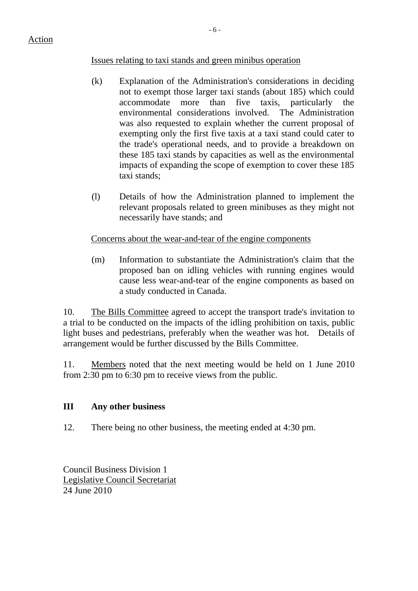# Issues relating to taxi stands and green minibus operation

- (k) Explanation of the Administration's considerations in deciding not to exempt those larger taxi stands (about 185) which could accommodate more than five taxis, particularly the environmental considerations involved. The Administration was also requested to explain whether the current proposal of exempting only the first five taxis at a taxi stand could cater to the trade's operational needs, and to provide a breakdown on these 185 taxi stands by capacities as well as the environmental impacts of expanding the scope of exemption to cover these 185 taxi stands;
- (l) Details of how the Administration planned to implement the relevant proposals related to green minibuses as they might not necessarily have stands; and

# Concerns about the wear-and-tear of the engine components

(m) Information to substantiate the Administration's claim that the proposed ban on idling vehicles with running engines would cause less wear-and-tear of the engine components as based on a study conducted in Canada.

10. The Bills Committee agreed to accept the transport trade's invitation to a trial to be conducted on the impacts of the idling prohibition on taxis, public light buses and pedestrians, preferably when the weather was hot. Details of arrangement would be further discussed by the Bills Committee.

11. Members noted that the next meeting would be held on 1 June 2010 from 2:30 pm to 6:30 pm to receive views from the public.

# **III Any other business**

12. There being no other business, the meeting ended at 4:30 pm.

Council Business Division 1 Legislative Council Secretariat 24 June 2010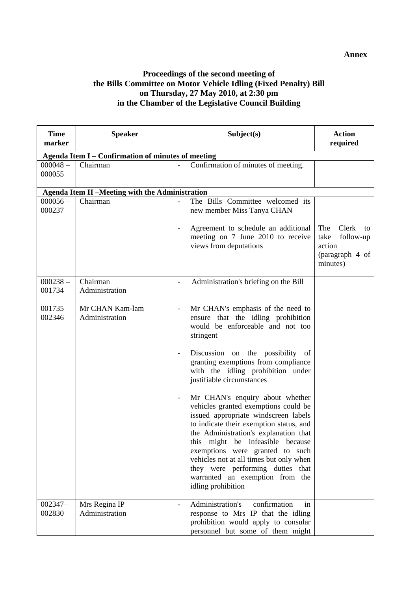#### **Annex**

#### **Proceedings of the second meeting of the Bills Committee on Motor Vehicle Idling (Fixed Penalty) Bill on Thursday, 27 May 2010, at 2:30 pm in the Chamber of the Legislative Council Building**

| <b>Time</b><br>marker | <b>Speaker</b>                                         | Subject(s)                                                                                                                                                                                                                                                                                                                                                                                                                                                                                                                                                                                                                                                                                                                                                           | <b>Action</b><br>required                                                        |
|-----------------------|--------------------------------------------------------|----------------------------------------------------------------------------------------------------------------------------------------------------------------------------------------------------------------------------------------------------------------------------------------------------------------------------------------------------------------------------------------------------------------------------------------------------------------------------------------------------------------------------------------------------------------------------------------------------------------------------------------------------------------------------------------------------------------------------------------------------------------------|----------------------------------------------------------------------------------|
|                       | Agenda Item I - Confirmation of minutes of meeting     |                                                                                                                                                                                                                                                                                                                                                                                                                                                                                                                                                                                                                                                                                                                                                                      |                                                                                  |
| $000048 -$<br>000055  | Chairman                                               | Confirmation of minutes of meeting.                                                                                                                                                                                                                                                                                                                                                                                                                                                                                                                                                                                                                                                                                                                                  |                                                                                  |
|                       | <b>Agenda Item II -Meeting with the Administration</b> |                                                                                                                                                                                                                                                                                                                                                                                                                                                                                                                                                                                                                                                                                                                                                                      |                                                                                  |
| $000056 -$<br>000237  | Chairman                                               | The Bills Committee welcomed its<br>new member Miss Tanya CHAN                                                                                                                                                                                                                                                                                                                                                                                                                                                                                                                                                                                                                                                                                                       |                                                                                  |
|                       |                                                        | Agreement to schedule an additional<br>$\overline{\phantom{a}}$<br>meeting on 7 June 2010 to receive<br>views from deputations                                                                                                                                                                                                                                                                                                                                                                                                                                                                                                                                                                                                                                       | Clerk<br>The<br>to<br>take<br>follow-up<br>action<br>(paragraph 4 of<br>minutes) |
| $000238 -$<br>001734  | Chairman<br>Administration                             | Administration's briefing on the Bill                                                                                                                                                                                                                                                                                                                                                                                                                                                                                                                                                                                                                                                                                                                                |                                                                                  |
| 001735<br>002346      | Mr CHAN Kam-lam<br>Administration                      | Mr CHAN's emphasis of the need to<br>$\frac{1}{2}$<br>ensure that the idling prohibition<br>would be enforceable and not too<br>stringent<br>Discussion on the possibility of<br>$\overline{\phantom{a}}$<br>granting exemptions from compliance<br>with the idling prohibition under<br>justifiable circumstances<br>Mr CHAN's enquiry about whether<br>$\overline{\phantom{a}}$<br>vehicles granted exemptions could be<br>issued appropriate windscreen labels<br>to indicate their exemption status, and<br>the Administration's explanation that<br>this might be infeasible because<br>exemptions were granted to such<br>vehicles not at all times but only when<br>they were performing duties that<br>warranted an exemption from the<br>idling prohibition |                                                                                  |
| 002347-<br>002830     | Mrs Regina IP<br>Administration                        | Administration's<br>confirmation<br>in<br>response to Mrs IP that the idling<br>prohibition would apply to consular<br>personnel but some of them might                                                                                                                                                                                                                                                                                                                                                                                                                                                                                                                                                                                                              |                                                                                  |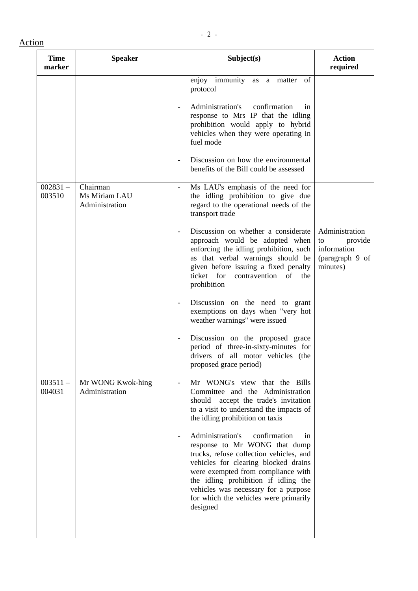| <b>Time</b><br>marker | <b>Speaker</b>                              | Subject(s)                                                                                                                                                                                                                                                                                                                                                        | <b>Action</b><br>required                                                     |
|-----------------------|---------------------------------------------|-------------------------------------------------------------------------------------------------------------------------------------------------------------------------------------------------------------------------------------------------------------------------------------------------------------------------------------------------------------------|-------------------------------------------------------------------------------|
|                       |                                             | enjoy immunity as a matter<br>of<br>protocol                                                                                                                                                                                                                                                                                                                      |                                                                               |
|                       |                                             | Administration's<br>confirmation<br>1n<br>$\overline{\phantom{a}}$<br>response to Mrs IP that the idling<br>prohibition would apply to hybrid<br>vehicles when they were operating in<br>fuel mode                                                                                                                                                                |                                                                               |
|                       |                                             | Discussion on how the environmental<br>$\qquad \qquad \blacksquare$<br>benefits of the Bill could be assessed                                                                                                                                                                                                                                                     |                                                                               |
| $002831 -$<br>003510  | Chairman<br>Ms Miriam LAU<br>Administration | Ms LAU's emphasis of the need for<br>the idling prohibition to give due<br>regard to the operational needs of the<br>transport trade                                                                                                                                                                                                                              |                                                                               |
|                       |                                             | Discussion on whether a considerate<br>$\qquad \qquad -$<br>approach would be adopted when<br>enforcing the idling prohibition, such<br>as that verbal warnings should be<br>given before issuing a fixed penalty<br>ticket for<br>contravention of the<br>prohibition                                                                                            | Administration<br>provide<br>to<br>information<br>(paragraph 9 of<br>minutes) |
|                       |                                             | Discussion on the need to grant<br>$\qquad \qquad \blacksquare$<br>exemptions on days when "very hot<br>weather warnings" were issued                                                                                                                                                                                                                             |                                                                               |
|                       |                                             | Discussion on the proposed grace<br>$\overline{\phantom{a}}$<br>period of three-in-sixty-minutes for<br>drivers of all motor vehicles (the<br>proposed grace period)                                                                                                                                                                                              |                                                                               |
| $003511 -$<br>004031  | Mr WONG Kwok-hing<br>Administration         | Mr WONG's view that the Bills<br>$\overline{a}$<br>Committee and the Administration<br>accept the trade's invitation<br>should<br>to a visit to understand the impacts of<br>the idling prohibition on taxis                                                                                                                                                      |                                                                               |
|                       |                                             | Administration's<br>confirmation<br>1n<br>$\overline{\phantom{a}}$<br>response to Mr WONG that dump<br>trucks, refuse collection vehicles, and<br>vehicles for clearing blocked drains<br>were exempted from compliance with<br>the idling prohibition if idling the<br>vehicles was necessary for a purpose<br>for which the vehicles were primarily<br>designed |                                                                               |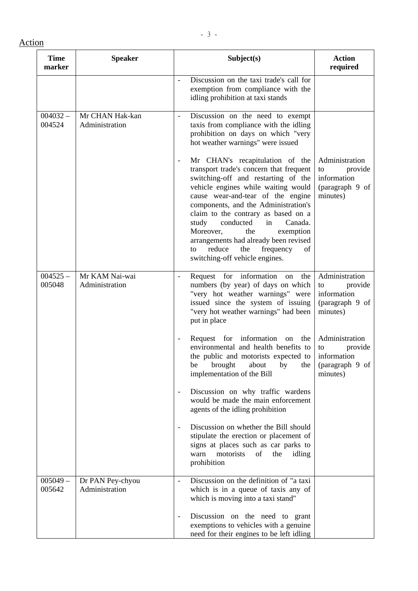| <b>Time</b><br>marker | <b>Speaker</b>                     | Subject(s)                                                                                                                                                                                                                                                                                                                                                                                                                                                                      | <b>Action</b><br>required                                                     |
|-----------------------|------------------------------------|---------------------------------------------------------------------------------------------------------------------------------------------------------------------------------------------------------------------------------------------------------------------------------------------------------------------------------------------------------------------------------------------------------------------------------------------------------------------------------|-------------------------------------------------------------------------------|
|                       |                                    | Discussion on the taxi trade's call for<br>exemption from compliance with the<br>idling prohibition at taxi stands                                                                                                                                                                                                                                                                                                                                                              |                                                                               |
| $004032 -$<br>004524  | Mr CHAN Hak-kan<br>Administration  | Discussion on the need to exempt<br>$\frac{1}{2}$<br>taxis from compliance with the idling<br>prohibition on days on which "very<br>hot weather warnings" were issued                                                                                                                                                                                                                                                                                                           |                                                                               |
|                       |                                    | Mr CHAN's recapitulation of the<br>÷,<br>transport trade's concern that frequent<br>switching-off and restarting of the<br>vehicle engines while waiting would<br>cause wear-and-tear of the engine<br>components, and the Administration's<br>claim to the contrary as based on a<br>in<br>conducted<br>Canada.<br>study<br>Moreover,<br>the<br>exemption<br>arrangements had already been revised<br>the<br>reduce<br>frequency<br>of<br>to<br>switching-off vehicle engines. | Administration<br>provide<br>to<br>information<br>(paragraph 9 of<br>minutes) |
| $004525 -$<br>005048  | Mr KAM Nai-wai<br>Administration   | Request for information<br>the<br>on<br>$\blacksquare$<br>numbers (by year) of days on which<br>"very hot weather warnings" were<br>issued since the system of issuing<br>"very hot weather warnings" had been<br>put in place                                                                                                                                                                                                                                                  | Administration<br>to<br>provide<br>information<br>(paragraph 9 of<br>minutes) |
|                       |                                    | Request for information<br>the<br>on<br>$\overline{a}$<br>environmental and health benefits to<br>the public and motorists expected to<br>brought<br>be<br>about<br>by<br>the<br>implementation of the Bill                                                                                                                                                                                                                                                                     | Administration<br>provide<br>to<br>information<br>(paragraph 9 of<br>minutes) |
|                       |                                    | Discussion on why traffic wardens<br>$\overline{\phantom{a}}$<br>would be made the main enforcement<br>agents of the idling prohibition                                                                                                                                                                                                                                                                                                                                         |                                                                               |
|                       |                                    | Discussion on whether the Bill should<br>$\qquad \qquad \blacksquare$<br>stipulate the erection or placement of<br>signs at places such as car parks to<br>motorists<br>of<br>warn<br>the<br>idling<br>prohibition                                                                                                                                                                                                                                                              |                                                                               |
| $005049 -$<br>005642  | Dr PAN Pey-chyou<br>Administration | Discussion on the definition of "a taxi<br>$\overline{a}$<br>which is in a queue of taxis any of<br>which is moving into a taxi stand"                                                                                                                                                                                                                                                                                                                                          |                                                                               |
|                       |                                    | Discussion on the need to grant<br>$\overline{\phantom{a}}$<br>exemptions to vehicles with a genuine<br>need for their engines to be left idling                                                                                                                                                                                                                                                                                                                                |                                                                               |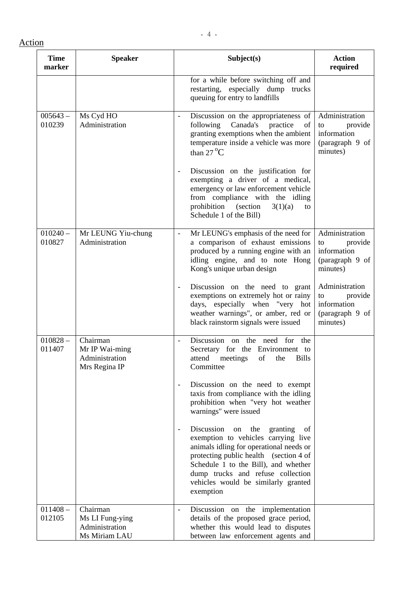| <b>Time</b><br>marker | <b>Speaker</b>                                                 | Subject(s)                                                                                                                                                                                                                                                                                                               | <b>Action</b><br>required                                                     |
|-----------------------|----------------------------------------------------------------|--------------------------------------------------------------------------------------------------------------------------------------------------------------------------------------------------------------------------------------------------------------------------------------------------------------------------|-------------------------------------------------------------------------------|
|                       |                                                                | for a while before switching off and<br>restarting, especially dump trucks<br>queuing for entry to landfills                                                                                                                                                                                                             |                                                                               |
| $005643 -$<br>010239  | Ms Cyd HO<br>Administration                                    | Discussion on the appropriateness of<br>following<br>Canada's<br>practice<br>of<br>granting exemptions when the ambient<br>temperature inside a vehicle was more<br>than $27^{\circ}$ C                                                                                                                                  | Administration<br>provide<br>to<br>information<br>(paragraph 9 of<br>minutes) |
|                       |                                                                | Discussion on the justification for<br>$\overline{\phantom{a}}$<br>exempting a driver of a medical,<br>emergency or law enforcement vehicle<br>from compliance with the idling<br>prohibition<br>(section)<br>3(1)(a)<br>to<br>Schedule 1 of the Bill)                                                                   |                                                                               |
| $010240 -$<br>010827  | Mr LEUNG Yiu-chung<br>Administration                           | Mr LEUNG's emphasis of the need for<br>$\blacksquare$<br>a comparison of exhaust emissions<br>produced by a running engine with an<br>idling engine, and to note Hong<br>Kong's unique urban design                                                                                                                      | Administration<br>provide<br>to<br>information<br>(paragraph 9 of<br>minutes) |
|                       |                                                                | Discussion on the need to grant<br>$\overline{\phantom{a}}$<br>exemptions on extremely hot or rainy<br>days, especially when "very hot<br>weather warnings", or amber, red or<br>black rainstorm signals were issued                                                                                                     | Administration<br>to<br>provide<br>information<br>(paragraph 9 of<br>minutes) |
| $010828 -$<br>011407  | Chairman<br>Mr IP Wai-ming<br>Administration<br>Mrs Regina IP  | Discussion on<br>the need<br>for<br>the<br>Secretary for the Environment to<br>of<br>attend<br>meetings<br>the<br><b>Bills</b><br>Committee                                                                                                                                                                              |                                                                               |
|                       |                                                                | Discussion on the need to exempt<br>$\overline{\phantom{a}}$<br>taxis from compliance with the idling<br>prohibition when "very hot weather<br>warnings" were issued                                                                                                                                                     |                                                                               |
|                       |                                                                | Discussion<br>the<br>granting<br>of<br>on<br>$\overline{a}$<br>exemption to vehicles carrying live<br>animals idling for operational needs or<br>protecting public health (section 4 of<br>Schedule 1 to the Bill), and whether<br>dump trucks and refuse collection<br>vehicles would be similarly granted<br>exemption |                                                                               |
| $011408 -$<br>012105  | Chairman<br>Ms LI Fung-ying<br>Administration<br>Ms Miriam LAU | Discussion on the implementation<br>$\overline{\phantom{a}}$<br>details of the proposed grace period,<br>whether this would lead to disputes<br>between law enforcement agents and                                                                                                                                       |                                                                               |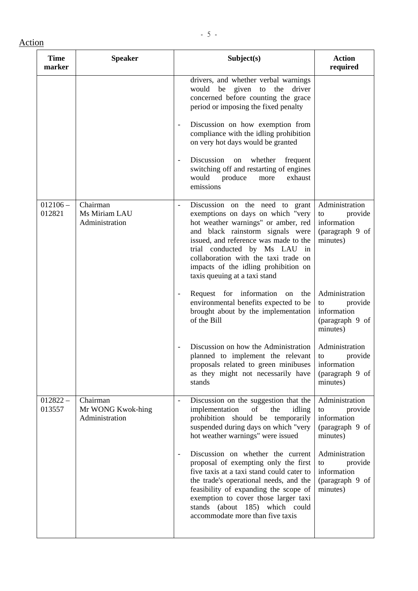| <b>Time</b><br>marker | <b>Speaker</b>                                  | Subject(s)                                                                                                                                                                                                                                                                                                                                          | <b>Action</b><br>required                                                       |
|-----------------------|-------------------------------------------------|-----------------------------------------------------------------------------------------------------------------------------------------------------------------------------------------------------------------------------------------------------------------------------------------------------------------------------------------------------|---------------------------------------------------------------------------------|
|                       |                                                 | drivers, and whether verbal warnings<br>would be given to the<br>driver<br>concerned before counting the grace<br>period or imposing the fixed penalty                                                                                                                                                                                              |                                                                                 |
|                       |                                                 | Discussion on how exemption from<br>$\frac{1}{2}$<br>compliance with the idling prohibition<br>on very hot days would be granted                                                                                                                                                                                                                    |                                                                                 |
|                       |                                                 | Discussion<br>whether<br>on<br>frequent<br>$\overline{\phantom{a}}$<br>switching off and restarting of engines<br>would produce<br>exhaust<br>more<br>emissions                                                                                                                                                                                     |                                                                                 |
| $012106 -$<br>012821  | Chairman<br>Ms Miriam LAU<br>Administration     | Discussion on the need to grant<br>exemptions on days on which "very<br>hot weather warnings" or amber, red<br>and black rainstorm signals were<br>issued, and reference was made to the<br>trial conducted by Ms LAU in<br>collaboration with the taxi trade on<br>impacts of the idling prohibition on<br>taxis queuing at a taxi stand           | Administration<br>provide<br>to<br>information<br>(paragraph 9 of<br>minutes)   |
|                       |                                                 | Request for information<br>the<br>on<br>$\overline{\phantom{a}}$<br>environmental benefits expected to be<br>brought about by the implementation<br>of the Bill                                                                                                                                                                                     | Administration<br>provide<br>to<br>information<br>(paragraph 9 of<br>minutes)   |
|                       |                                                 | Discussion on how the Administration<br>planned to implement the relevant<br>proposals related to green minibuses<br>as they might not necessarily have<br>stands                                                                                                                                                                                   | Administration<br>provide<br>to<br>$information$<br>(paragraph 9 of<br>minutes) |
| $012822 -$<br>013557  | Chairman<br>Mr WONG Kwok-hing<br>Administration | Discussion on the suggestion that the<br>$\overline{a}$<br>of<br>the<br>implementation<br>idling<br>prohibition should be temporarily<br>suspended during days on which "very<br>hot weather warnings" were issued                                                                                                                                  | Administration<br>to<br>provide<br>information<br>(paragraph 9 of<br>minutes)   |
|                       |                                                 | Discussion on whether the current<br>$\overline{\phantom{a}}$<br>proposal of exempting only the first<br>five taxis at a taxi stand could cater to<br>the trade's operational needs, and the<br>feasibility of expanding the scope of<br>exemption to cover those larger taxi<br>stands (about 185) which could<br>accommodate more than five taxis | Administration<br>to<br>provide<br>information<br>(paragraph 9 of<br>minutes)   |